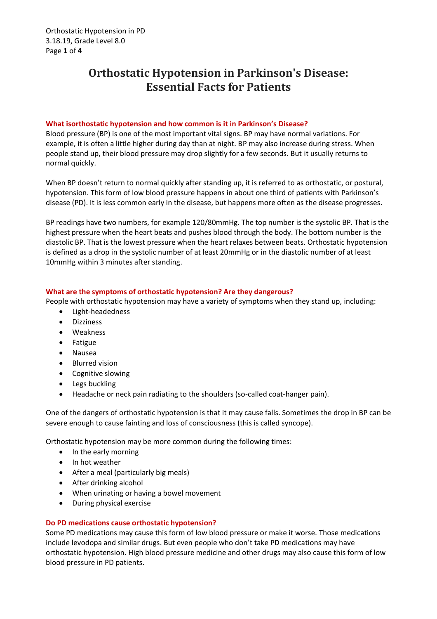# **Orthostatic Hypotension in Parkinson's Disease: Essential Facts for Patients**

## **What isorthostatic hypotension and how common is it in Parkinson's Disease?**

Blood pressure (BP) is one of the most important vital signs. BP may have normal variations. For example, it is often a little higher during day than at night. BP may also increase during stress. When people stand up, their blood pressure may drop slightly for a few seconds. But it usually returns to normal quickly.

When BP doesn't return to normal quickly after standing up, it is referred to as orthostatic, or postural, hypotension. This form of low blood pressure happens in about one third of patients with Parkinson's disease (PD). It is less common early in the disease, but happens more often as the disease progresses.

BP readings have two numbers, for example 120/80mmHg. The top number is the systolic BP. That is the highest pressure when the heart beats and pushes blood through the body. The bottom number is the diastolic BP. That is the lowest pressure when the heart relaxes between beats. Orthostatic hypotension is defined as a drop in the systolic number of at least 20mmHg or in the diastolic number of at least 10mmHg within 3 minutes after standing.

## **What are the symptoms of orthostatic hypotension? Are they dangerous?**

People with orthostatic hypotension may have a variety of symptoms when they stand up, including:

- Light-headedness
- Dizziness
- Weakness
- **•** Fatigue
- Nausea
- Blurred vision
- Cognitive slowing
- Legs buckling
- Headache or neck pain radiating to the shoulders (so-called coat-hanger pain).

One of the dangers of orthostatic hypotension is that it may cause falls. Sometimes the drop in BP can be severe enough to cause fainting and loss of consciousness (this is called syncope).

Orthostatic hypotension may be more common during the following times:

- In the early morning
- In hot weather
- After a meal (particularly big meals)
- After drinking alcohol
- When urinating or having a bowel movement
- During physical exercise

### **Do PD medications cause orthostatic hypotension?**

Some PD medications may cause this form of low blood pressure or make it worse. Those medications include levodopa and similar drugs. But even people who don't take PD medications may have orthostatic hypotension. High blood pressure medicine and other drugs may also cause this form of low blood pressure in PD patients.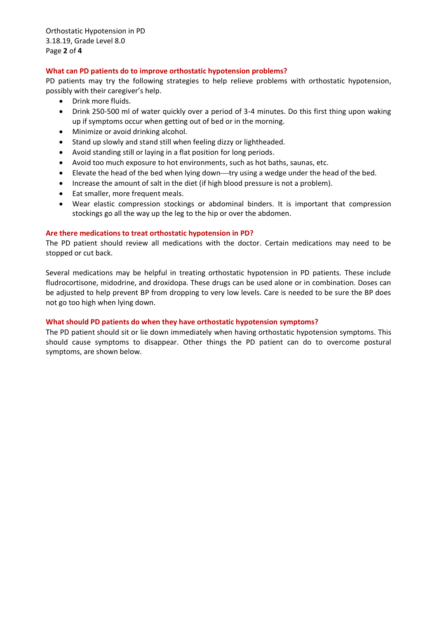Orthostatic Hypotension in PD 3.18.19, Grade Level 8.0 Page **2** of **4**

### **What can PD patients do to improve orthostatic hypotension problems?**

PD patients may try the following strategies to help relieve problems with orthostatic hypotension, possibly with their caregiver's help.

- Drink more fluids.
- Drink 250-500 ml of water quickly over a period of 3-4 minutes. Do this first thing upon waking up if symptoms occur when getting out of bed or in the morning.
- Minimize or avoid drinking alcohol.
- Stand up slowly and stand still when feeling dizzy or lightheaded.
- Avoid standing still or laying in a flat position for long periods.
- Avoid too much exposure to hot environments, such as hot baths, saunas, etc.
- Elevate the head of the bed when lying down—try using a wedge under the head of the bed.
- Increase the amount of salt in the diet (if high blood pressure is not a problem).
- Eat smaller, more frequent meals.
- Wear elastic compression stockings or abdominal binders. It is important that compression stockings go all the way up the leg to the hip or over the abdomen.

### **Are there medications to treat orthostatic hypotension in PD?**

The PD patient should review all medications with the doctor. Certain medications may need to be stopped or cut back.

Several medications may be helpful in treating orthostatic hypotension in PD patients. These include fludrocortisone, midodrine, and droxidopa. These drugs can be used alone or in combination. Doses can be adjusted to help prevent BP from dropping to very low levels. Care is needed to be sure the BP does not go too high when lying down.

### **What should PD patients do when they have orthostatic hypotension symptoms?**

The PD patient should sit or lie down immediately when having orthostatic hypotension symptoms. This should cause symptoms to disappear. Other things the PD patient can do to overcome postural symptoms, are shown below.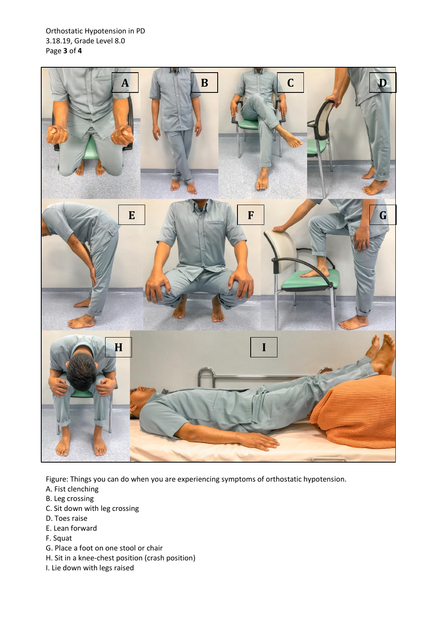Orthostatic Hypotension in PD 3.18.19, Grade Level 8.0 Page **3** of **4**



Figure: Things you can do when you are experiencing symptoms of orthostatic hypotension.

- A. Fist clenching
- B. Leg crossing
- C. Sit down with leg crossing
- D. Toes raise
- E. Lean forward
- F. Squat
- G. Place a foot on one stool or chair
- H. Sit in a knee-chest position (crash position)
- I. Lie down with legs raised